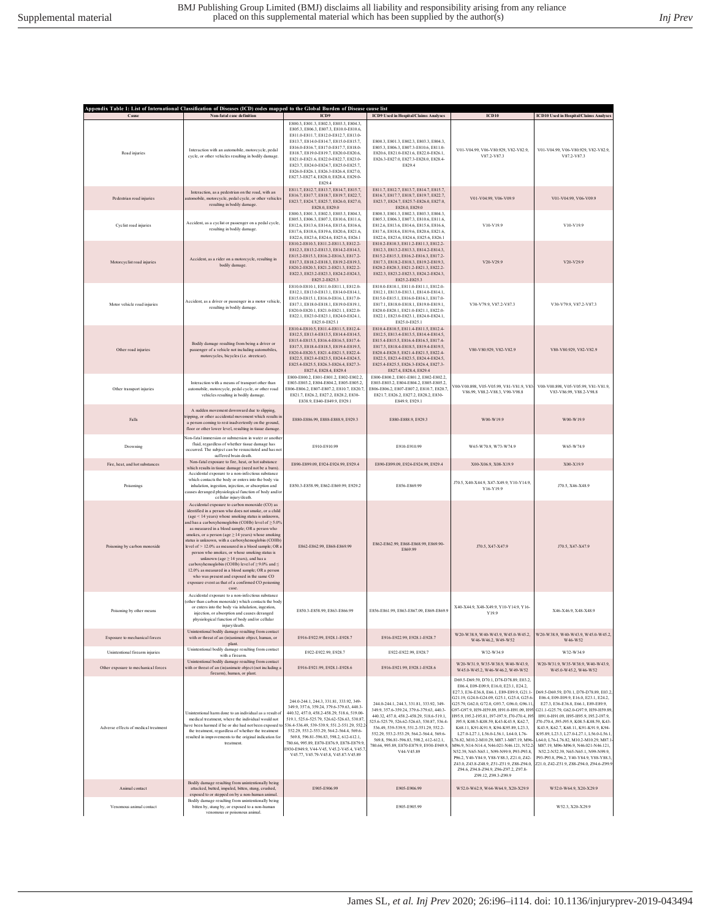|                                      | Appendix Table 1: List of International Classification of Diseases (ICD) codes mapped to the Global Burden of Disease cause list                                                                                                                                                                                                                                                                                                                                                                                                                                                                                                                                                                                                                            |                                                                                                                                                                                                                                                                                                                                                                                                                                                           |                                                                                                                                                                                                                                                                                                                                                                             |                                                                                                                                                                                                                                                                                                                                                                                                                                                                                                                                                                                                                                                                                                                                          |                                                                                                                                                                                                                                                                                                                                                                                                                                                                                                                |
|--------------------------------------|-------------------------------------------------------------------------------------------------------------------------------------------------------------------------------------------------------------------------------------------------------------------------------------------------------------------------------------------------------------------------------------------------------------------------------------------------------------------------------------------------------------------------------------------------------------------------------------------------------------------------------------------------------------------------------------------------------------------------------------------------------------|-----------------------------------------------------------------------------------------------------------------------------------------------------------------------------------------------------------------------------------------------------------------------------------------------------------------------------------------------------------------------------------------------------------------------------------------------------------|-----------------------------------------------------------------------------------------------------------------------------------------------------------------------------------------------------------------------------------------------------------------------------------------------------------------------------------------------------------------------------|------------------------------------------------------------------------------------------------------------------------------------------------------------------------------------------------------------------------------------------------------------------------------------------------------------------------------------------------------------------------------------------------------------------------------------------------------------------------------------------------------------------------------------------------------------------------------------------------------------------------------------------------------------------------------------------------------------------------------------------|----------------------------------------------------------------------------------------------------------------------------------------------------------------------------------------------------------------------------------------------------------------------------------------------------------------------------------------------------------------------------------------------------------------------------------------------------------------------------------------------------------------|
| Cause                                | Non-fatal case definition                                                                                                                                                                                                                                                                                                                                                                                                                                                                                                                                                                                                                                                                                                                                   | ICD9<br>E800.3, E801.3, E802.3, E803.3, E804.3,                                                                                                                                                                                                                                                                                                                                                                                                           | <b>ICD9</b> Used in Hospital/Claims Analyses                                                                                                                                                                                                                                                                                                                                | ICD10                                                                                                                                                                                                                                                                                                                                                                                                                                                                                                                                                                                                                                                                                                                                    | <b>ICD10</b> Used in Hospital/Claims Analyses                                                                                                                                                                                                                                                                                                                                                                                                                                                                  |
| Road injuries                        | Interaction with an automobile, motorcycle, pedal<br>cycle, or other vehicles resulting in bodily damage.                                                                                                                                                                                                                                                                                                                                                                                                                                                                                                                                                                                                                                                   | E805.3, E806.3, E807.3, E810.0-E810.6,<br>E811.0-E811.7, E812.0-E812.7, E813.0-<br>E813.7, E814.0-E814.7, E815.0-E815.7,<br>E816.0-E816.7, E817.0-E817.7, E818.0-<br>E818.7, E819.0-E819.7, E820.0-E820.6,<br>E821.0-E821.6, E822.0-E822.7, E823.0-<br>E823.7, E824.0-E824.7, E825.0-E825.7,<br>E826.0-E826.1, E826.3-E826.4, E827.0,<br>E827.3-E827.4, E828.0, E828.4, E829.0-<br>E829.4                                                                 | E800.3, E801.3, E802.3, E803.3, E804.3,<br>E805.3, E806.3, E807.3-E810.6, E811.0-<br>E820.6, E821.0-E821.6, E822.0-E826.1,<br>E826.3-E827.0, E827.3-E828.0, E828.4-<br>E829.4                                                                                                                                                                                               | V01-V04.99, V06-V80.929, V82-V82.9,<br>V87.2-V87.3                                                                                                                                                                                                                                                                                                                                                                                                                                                                                                                                                                                                                                                                                       | V01-V04.99, V06-V80.929, V82-V82.9,<br>V87.2-V87.3                                                                                                                                                                                                                                                                                                                                                                                                                                                             |
| Pedestrian road injuries             | Interaction, as a pedestrian on the road, with an<br>automobile, motorcycle, pedal cycle, or other vehicles<br>resulting in bodily damage.                                                                                                                                                                                                                                                                                                                                                                                                                                                                                                                                                                                                                  | E811.7, E812.7, E813.7, E814.7, E815.7,<br>E816.7, E817.7, E818.7, E819.7, E822.7,<br>E823.7, E824.7, E825.7, E826.0, E827.0,<br>E828.0, E829.0                                                                                                                                                                                                                                                                                                           | E811 7 E812 7 E813 7 E814 7 E815 7<br>E816.7, E817.7, E818.7, E819.7, E822.7,<br>E823.7, E824.7, E825.7-E826.0, E827.0,<br>E828.0, E829.0                                                                                                                                                                                                                                   | V01-V04.99, V06-V09.9                                                                                                                                                                                                                                                                                                                                                                                                                                                                                                                                                                                                                                                                                                                    | V01-V04.99, V06-V09.9                                                                                                                                                                                                                                                                                                                                                                                                                                                                                          |
| Cyclist road injuries                | Accident, as a cyclist or passenger on a pedal cycle,<br>resulting in bodily damage.                                                                                                                                                                                                                                                                                                                                                                                                                                                                                                                                                                                                                                                                        | E800.3, E801.3, E802.3, E803.3, E804.3,<br>E805.3, E806.3, E807.3, E810.6, E811.6,<br>E812.6, E813.6, E814.6, E815.6, E816.6,<br>E817.6, E818.6, E819.6, E820.6, E821.6,<br>E822.6, E823.6, E824.6, E825.6, E826.1                                                                                                                                                                                                                                        | E800.3, E801.3, E802.3, E803.3, E804.3,<br>E805.3, E806.3, E807.3, E810.6, E811.6,<br>E812.6, E813.6, E814.6, E815.6, E816.6,<br>E817.6, E818.6, E819.6, E820.6, E821.6,<br>E822.6, E823.6, E824.6, E825.6, E826.1                                                                                                                                                          | V10-V199                                                                                                                                                                                                                                                                                                                                                                                                                                                                                                                                                                                                                                                                                                                                 | V10-V19.9                                                                                                                                                                                                                                                                                                                                                                                                                                                                                                      |
| Motorcyclist road injuries           | Accident, as a rider on a motorcycle, resulting in<br>bodily damage.                                                                                                                                                                                                                                                                                                                                                                                                                                                                                                                                                                                                                                                                                        | E810.2-E810.3, E811.2-E811.3, E812.2-<br>E812.3, E813.2-E813.3, E814.2-E814.3,<br>E815 2-E815 3, E816 2-E816 3, E817 2-<br>E817.3, E818.2-E818.3, E819.2-E819.3,<br>E820.2-E820.3, E821.2-E821.3, E822.2-<br>E822.3, E823.2-E823.3, E824.2-E824.3,<br>E825.2-E825.3                                                                                                                                                                                       | E810.2-E810.3, E811.2-E811.3, E812.2-<br>E812.3, E813.2-E813.3, E814.2-E814.3,<br>E815.2-E815.3, E816.2-E816.3, E817.2-<br>E817.3, E818.2-E818.3, E819.2-E819.3,<br>E820.2-E820.3, E821.2-E821.3, E822.2-<br>E822.3, E823.2-E823.3, E824.2-E824.3,<br>E825.2-E825.3                                                                                                         | $V20-V29.9$                                                                                                                                                                                                                                                                                                                                                                                                                                                                                                                                                                                                                                                                                                                              | V20-V29.9                                                                                                                                                                                                                                                                                                                                                                                                                                                                                                      |
| Motor vehicle road injuries          | Accident, as a driver or passenger in a motor vehicle<br>resulting in bodily damage.                                                                                                                                                                                                                                                                                                                                                                                                                                                                                                                                                                                                                                                                        | E810.0-E810.1, E811.0-E811.1, E812.0-<br>E812.1, E813.0-E813.1, E814.0-E814.1,<br>E815.0-E815.1, E816.0-E816.1, E817.0-<br>E817.1, E818.0-E818.1, E819.0-E819.1,<br>E820.0-E820.1, E821.0-E821.1, E822.0-<br>E822.1, E823.0-E823.1, E824.0-E824.1,<br>F825 0-F825 1                                                                                                                                                                                       | E810.0-E810.1, E811.0-E811.1, E812.0-<br>E812.1. E813.0-E813.1, E814.0-E814.1,<br>E815.0-E815.1, E816.0-E816.1, E817.0-<br>E817.1, E818.0-E818.1, E819.0-E819.1,<br>E820.0-E820.1, E821.0-E821.1, E822.0-<br>E822.1, E823.0-E823.1, E824.0-E824.1,<br>E825 0-E825 1                                                                                                         | V30-V79.9, V87.2-V87.3                                                                                                                                                                                                                                                                                                                                                                                                                                                                                                                                                                                                                                                                                                                   | V30-V79.9, V87.2-V87.3                                                                                                                                                                                                                                                                                                                                                                                                                                                                                         |
| Other road injuries                  | Bodily damage resulting from being a driver or<br>passenger of a vehicle not including automobiles,<br>motorcycles, bicycles (i.e. streetcar).                                                                                                                                                                                                                                                                                                                                                                                                                                                                                                                                                                                                              | E810.4-E810.5, E811.4-E811.5, E812.4-<br>E812.5, E813.4-E813.5, E814.4-E814.5,<br>E815.4-E815.5, E816.4-E816.5, E817.4-<br>E817.5, E818.4-E818.5, E819.4-E819.5,<br>E820.4-E820.5, E821.4-E821.5, E822.4-<br>E822.5, E823.4-E823.5, E824.4-E824.5,<br>E825.4-E825.5, E826.3-E826.4, E827.3-<br>E827.4, E828.4, E829.4                                                                                                                                     | E810.4-E810.5, E811.4-E811.5, E812.4-<br>E812.5, E813.4-E813.5, E814.4-E814.5,<br>E815.4-E815.5, E816.4-E816.5, E817.4-<br>E817 5 E818 4-E818 5 E819 4-E819 5<br>E820.4-E820.5, E821.4-E821.5, E822.4-<br>E822 5 E823 4-E823 5 E824 4-E824 5<br>E825.4-E825.5, E826.3-E826.4, E827.3-<br>E827.4, E828.4, E829.4                                                             | V80-V80.929, V82-V82.9                                                                                                                                                                                                                                                                                                                                                                                                                                                                                                                                                                                                                                                                                                                   | V80-V80.929, V82-V82.9                                                                                                                                                                                                                                                                                                                                                                                                                                                                                         |
| Other transport injuries             | Interaction with a means of transport other than<br>automobile, motorcycle, pedal cycle, or other road<br>vehicles resulting in bodily damage.                                                                                                                                                                                                                                                                                                                                                                                                                                                                                                                                                                                                              | E800-E800.2, E801-E801.2, E802-E802.2,<br>E803-E803.2, E804-E804.2, E805-E805.2,<br>E806-E806.2, E807-E807.2, E810.7, E820.7<br>E821.7, E826.2, E827.2, E828.2, E830-<br>E838.9, E840-E849.9, E929.1                                                                                                                                                                                                                                                      | E800-E800.2, E801-E801.2, E802-E802.2,<br>E803-E803.2, E804-E804.2, E805-E805.2<br>E806-E806.2, E807-E807.2, E810.7, E820.7<br>E821.7, E826.2, E827.2, E828.2, E830-<br>E849.9, E929.1                                                                                                                                                                                      | 700-V00.898, V05-V05.99, V81-V81.9, V83-<br>V86.99, V88.2-V88.3, V90-V98.8                                                                                                                                                                                                                                                                                                                                                                                                                                                                                                                                                                                                                                                               | V00-V00.898, V05-V05.99, V81-V81.9,<br>V83-V86.99, V88.2-V98.8                                                                                                                                                                                                                                                                                                                                                                                                                                                 |
| Falls                                | A sudden movement downward due to slipping,<br>ripping, or other accidental movement which results<br>a person coming to rest inadvertently on the ground,<br>floor or other lower level, resulting in tissue damage.                                                                                                                                                                                                                                                                                                                                                                                                                                                                                                                                       | E880-E886.99, E888-E888.9, E929.3                                                                                                                                                                                                                                                                                                                                                                                                                         | <b>E880-E888 9 E929 3</b>                                                                                                                                                                                                                                                                                                                                                   | W00-W199                                                                                                                                                                                                                                                                                                                                                                                                                                                                                                                                                                                                                                                                                                                                 | W00-W199                                                                                                                                                                                                                                                                                                                                                                                                                                                                                                       |
| Drowning                             | Non-fatal immersion or submersion in water or anothe<br>fluid, regardless of whether tissue damage has<br>occurred. The subject can be resuscitated and has not<br>suffered brain death.                                                                                                                                                                                                                                                                                                                                                                                                                                                                                                                                                                    | E910-E910.99                                                                                                                                                                                                                                                                                                                                                                                                                                              | E910-E910.99                                                                                                                                                                                                                                                                                                                                                                | W65-W70.9, W73-W74.9                                                                                                                                                                                                                                                                                                                                                                                                                                                                                                                                                                                                                                                                                                                     | W65-W74.9                                                                                                                                                                                                                                                                                                                                                                                                                                                                                                      |
| Fire, heat, and hot substances       | Non-fatal exposure to fire, heat, or hot substance<br>which results in tissue damage (need not be a burn).                                                                                                                                                                                                                                                                                                                                                                                                                                                                                                                                                                                                                                                  | E890-E899.09, E924-E924.99, E929.4                                                                                                                                                                                                                                                                                                                                                                                                                        | E890-E899.09, E924-E924.99, E929.4                                                                                                                                                                                                                                                                                                                                          | X00-X06.9, X08-X19.9                                                                                                                                                                                                                                                                                                                                                                                                                                                                                                                                                                                                                                                                                                                     | X00-X19.9                                                                                                                                                                                                                                                                                                                                                                                                                                                                                                      |
| Poisonings                           | Accidental exposure to a non-infectious substance<br>which contacts the body or enters into the body via<br>inhalation, ingestion, injection, or absorption and<br>causes deranged physiological function of body and/or<br>cellular injury/death.                                                                                                                                                                                                                                                                                                                                                                                                                                                                                                          | E850.3-E858.99, E862-E869.99, E929.2                                                                                                                                                                                                                                                                                                                                                                                                                      | E856-E869.99                                                                                                                                                                                                                                                                                                                                                                | J70.5, X40-X44.9, X47-X49.9, Y10-Y14.9,<br>Y16-Y19.9                                                                                                                                                                                                                                                                                                                                                                                                                                                                                                                                                                                                                                                                                     | J70.5, X46-X48.9                                                                                                                                                                                                                                                                                                                                                                                                                                                                                               |
| Poisoning by carbon monoxide         | Accidental exposure to carbon monoxide (CO) as<br>identified in a person who does not smoke, or a child<br>$($ age $\leq$ 14 years) whose smoking status is unknown.<br>and has a carboxyhemoglobin (COHb) level of ≥ 5.0%<br>as measured in a blood sample; OR a person who<br>smokes, or a person (age ≥ 14 years) whose smoking<br>status is unknown, with a carboxyhemoglobin (COHb)<br>level of > 12.0% as measured in a blood sample; OR:<br>person who smokes, or whose smoking status is<br>unknown (age $> 14$ vears), and has a<br>carboxyhemoglobin (COHb) level of ≥9.0% and ≤<br>12.0% as measured in a blood sample; OR a person<br>who was present and exposed in the same CO<br>exposure event as that of a confirmed CO poisoning<br>case. | E862-E862.99, E868-E869.99                                                                                                                                                                                                                                                                                                                                                                                                                                | E862-E862.99, E868-E868.99, E869.90-<br>E869.99                                                                                                                                                                                                                                                                                                                             | J70.5, X47-X47.9                                                                                                                                                                                                                                                                                                                                                                                                                                                                                                                                                                                                                                                                                                                         | J70.5, X47-X47.9                                                                                                                                                                                                                                                                                                                                                                                                                                                                                               |
| Poisoning by other means             | Accidental exposure to a non-infectious substance<br>other than carbon monoxide) which contacts the body<br>or enters into the body via inhalation, ingestion,<br>injection, or absorption and causes deranged<br>physiological function of body and/or cellular<br>injury/death.                                                                                                                                                                                                                                                                                                                                                                                                                                                                           | E850.3-E858.99, E863-E866.99                                                                                                                                                                                                                                                                                                                                                                                                                              | E856-E861.99, E863-E867.09, E869-E869.9                                                                                                                                                                                                                                                                                                                                     | X40-X449 X48-X499 Y10-Y149 Y16-<br>Y19.9                                                                                                                                                                                                                                                                                                                                                                                                                                                                                                                                                                                                                                                                                                 | X46-X46.9, X48-X48.9                                                                                                                                                                                                                                                                                                                                                                                                                                                                                           |
| Exposure to mechanical forces        | Unintentional bodily damage resulting from contact<br>with or threat of an (in)animate object, human, or                                                                                                                                                                                                                                                                                                                                                                                                                                                                                                                                                                                                                                                    | E916-E922.99, E928.1-E928.7                                                                                                                                                                                                                                                                                                                                                                                                                               | E916-E922.99, E928.1-E928.7                                                                                                                                                                                                                                                                                                                                                 | W20-W38.9, W40-W43.9, W45.0-W45.2,<br>W46-W46.2, W49-W52                                                                                                                                                                                                                                                                                                                                                                                                                                                                                                                                                                                                                                                                                 | W20-W38.9, W40-W43.9, W45.0-W45.2,<br>W46-W52                                                                                                                                                                                                                                                                                                                                                                                                                                                                  |
| Unintentional firearm injuries       | plant.<br>Unintentional bodily damage resulting from contact<br>with a firearm.                                                                                                                                                                                                                                                                                                                                                                                                                                                                                                                                                                                                                                                                             | E922-E922.99, E928.7                                                                                                                                                                                                                                                                                                                                                                                                                                      | E922-E922.99, E928.7                                                                                                                                                                                                                                                                                                                                                        | W32-W34.9                                                                                                                                                                                                                                                                                                                                                                                                                                                                                                                                                                                                                                                                                                                                | W32-W34.9                                                                                                                                                                                                                                                                                                                                                                                                                                                                                                      |
| Other exposure to mechanical forces  | Unintentional bodily damage resulting from contact<br>with or threat of an (in)animate object (not including a                                                                                                                                                                                                                                                                                                                                                                                                                                                                                                                                                                                                                                              | E916-E921.99, E928.1-E928.6                                                                                                                                                                                                                                                                                                                                                                                                                               | E916-E921.99, E928.1-E928.6                                                                                                                                                                                                                                                                                                                                                 | W20-W31.9, W35-W38.9, W40-W43.9,<br>W450-W452 W46-W462 W49-W52                                                                                                                                                                                                                                                                                                                                                                                                                                                                                                                                                                                                                                                                           | W20-W31.9, W35-W38.9, W40-W43.9,<br>W45.0-W45.2, W46-W52                                                                                                                                                                                                                                                                                                                                                                                                                                                       |
|                                      | firearm), human, or plant.                                                                                                                                                                                                                                                                                                                                                                                                                                                                                                                                                                                                                                                                                                                                  |                                                                                                                                                                                                                                                                                                                                                                                                                                                           |                                                                                                                                                                                                                                                                                                                                                                             | D69.5-D69.59, D70.1, D78-D78.89, E03.2,                                                                                                                                                                                                                                                                                                                                                                                                                                                                                                                                                                                                                                                                                                  |                                                                                                                                                                                                                                                                                                                                                                                                                                                                                                                |
| Adverse effects of medical treatment | Unintentional harm done to an individual as a result of<br>medical treatment, where the individual would not<br>have been harmed if he or she had not been exposed to<br>the treatment, regardless of whether the treatment<br>resulted in improvements to the original indication for<br>treatment.                                                                                                                                                                                                                                                                                                                                                                                                                                                        | 244.0-244.1.244.3.331.81.333.92.349-<br>349.9, 357.6, 359.24, 379.6-379.63, 440.3-<br>440.32, 457.0, 458.2-458.29, 518.6, 519.00-<br>519.1, 525.6-525.79, 526.62-526.63, 530.87.<br>536.4-536.49, 539-539.9, 551.2-551.29, 552.2<br>552.29, 553.2-553.29, 564.2-564.4, 569.6-<br>569.8, 596.81-596.83, 598.2, 612-612.1,<br>780.66, 995.89, E870-E876.9, E878-E879.9,<br>E930-E949.9, V44-V45, V45.2-V45.4, V45.7,<br>V45.77, V45.79-V45.8, V45.87-V45.89 | 244.0-244.1, 244.3, 331.81, 333.92, 349-<br>349.9.357.6-359.24.379.6-379.63.440.3-<br>440.32, 457.0, 458.2-458.29, 518.6-519.1,<br>525.6-525.79, 526.62-526.63, 530.87, 536.4-<br>536.49, 539-539.9, 551.2-551.29, 552.2-<br>552.29, 553.2-553.29, 564.2-564.4, 569.6-<br>569.8, 596.81-596.83, 598.2, 612-612.1,<br>780.66, 995.89, E870-E879.9, E930-E949.9<br>V44-V45.89 | E06.4, E09-E09.9, E16.0, E23.1, E24.2,<br>E27.3, E36-E36.8, E66.1, E89-E89.9, G21.1-<br>G21.19, G24.0-G24.09, G25.1, G25.4, G25.6-<br>325.79, G62.0, G72.0, G93.7, G96.0, G96.11.<br>G97-G97.9, H59-H59.89, H91.0-H91.09, H95-G21.1-G25.79, G62.0-G97.9, H59-H59.89,<br>H95.9, 195.2-195.81, 197-197.9, J70-J70.4, J95<br>1959 KO8 5-KO8 59 K43-K43 9 K62 7<br>K68.11, K91-K91.9, K94-K95.89, L23.3,<br>L27.0-L27.1, L56.0-L56.1, L64.0, L76-<br>76.82, M10.2-M10.29, M87.1-M87.19, M96<br>M96.9, N14-N14.4, N46.021-N46.121, N52.2<br>N52.39, N65-N65.1, N99-N99.9, P93-P93.8,<br>P96.2, Y40-Y84.9, Y88-Y88.3, Z21.0, Z42-<br>Z43.0, Z43.8-Z48.9, Z51-Z51.9, Z88-Z94.0,<br>Z94.6, Z94.8-Z94.9, Z96-Z97.2, Z97.8-<br>Z99.12, Z99.3-Z99.9 | D69.5-D69.59, D70.1, D78-D78.89, E03.2,<br>E06.4, E09-E09.9, E16.0, E23.1, E24.2,<br>E27.3, E36-E36.8, E66.1, E89-E89.9,<br>Н91.0-Н91.09, Н95-Н95.9, 195.2-197.9,<br>J70-J70.4, J95-J95.9, K08.5-K08.59, K43-<br>K43.9, K62.7, K68.11, K91-K91.9, K94-<br>K95.89, L23.3, L27.0-L27.1, L56.0-L56.1<br>L64.0, L76-L76.82, M10.2-M10.29, M87.<br>M87.19, M96-M96.9, N46.021-N46.121,<br>N52.2-N52.39, N65-N65.1, N99-N99.9,<br>P93-P93.8, P96.2, Y40-Y84.9, Y88-Y88.3<br>Z21.0. Z42-Z51.9. Z88-Z94.0. Z94.6-Z99.9 |
| Animal contact                       | Bodily damage resulting from unintentionally being<br>attacked, butted, impaled, bitten, stung, crushed,                                                                                                                                                                                                                                                                                                                                                                                                                                                                                                                                                                                                                                                    | E905-E906.99                                                                                                                                                                                                                                                                                                                                                                                                                                              | E905-E906.99                                                                                                                                                                                                                                                                                                                                                                | W52.0-W62.9, W64-W64.9, X20-X29.9                                                                                                                                                                                                                                                                                                                                                                                                                                                                                                                                                                                                                                                                                                        | W52.0-W64.9, X20-X29.9                                                                                                                                                                                                                                                                                                                                                                                                                                                                                         |
| Venomous animal contact              | exposed to or stepped on by a non-human animal.<br>Bodily damage resulting from unintentionally being<br>bitten by, stung by, or exposed to a non-human<br>venomous or poisonous animal.                                                                                                                                                                                                                                                                                                                                                                                                                                                                                                                                                                    |                                                                                                                                                                                                                                                                                                                                                                                                                                                           | E905-E905.99                                                                                                                                                                                                                                                                                                                                                                |                                                                                                                                                                                                                                                                                                                                                                                                                                                                                                                                                                                                                                                                                                                                          | W52.3, X20-X29.9                                                                                                                                                                                                                                                                                                                                                                                                                                                                                               |